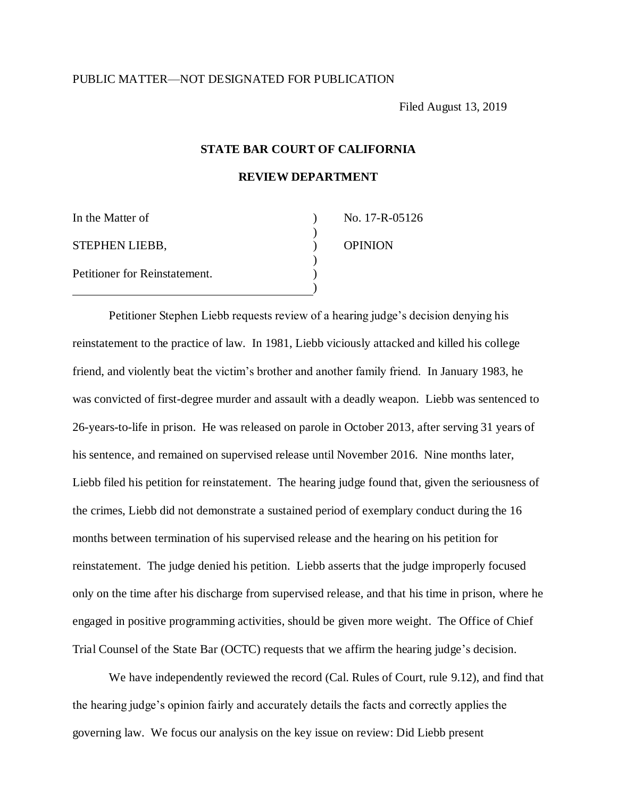## PUBLIC MATTER—NOT DESIGNATED FOR PUBLICATION

Filed August 13, 2019

# **STATE BAR COURT OF CALIFORNIA**

**REVIEW DEPARTMENT** 

| In the Matter of              | No. 17-R-05126 |
|-------------------------------|----------------|
|                               |                |
| <b>STEPHEN LIEBB,</b>         | <b>OPINION</b> |
|                               |                |
| Petitioner for Reinstatement. |                |
|                               |                |

Petitioner Stephen Liebb requests review of a hearing judge's decision denying his reinstatement to the practice of law. In 1981, Liebb viciously attacked and killed his college friend, and violently beat the victim's brother and another family friend. In January 1983, he was convicted of first-degree murder and assault with a deadly weapon. Liebb was sentenced to 26-years-to-life in prison. He was released on parole in October 2013, after serving 31 years of his sentence, and remained on supervised release until November 2016. Nine months later, Liebb filed his petition for reinstatement. The hearing judge found that, given the seriousness of the crimes, Liebb did not demonstrate a sustained period of exemplary conduct during the 16 months between termination of his supervised release and the hearing on his petition for reinstatement. The judge denied his petition. Liebb asserts that the judge improperly focused only on the time after his discharge from supervised release, and that his time in prison, where he engaged in positive programming activities, should be given more weight. The Office of Chief Trial Counsel of the State Bar (OCTC) requests that we affirm the hearing judge's decision.

We have independently reviewed the record (Cal. Rules of Court, rule 9.12), and find that the hearing judge's opinion fairly and accurately details the facts and correctly applies the governing law. We focus our analysis on the key issue on review: Did Liebb present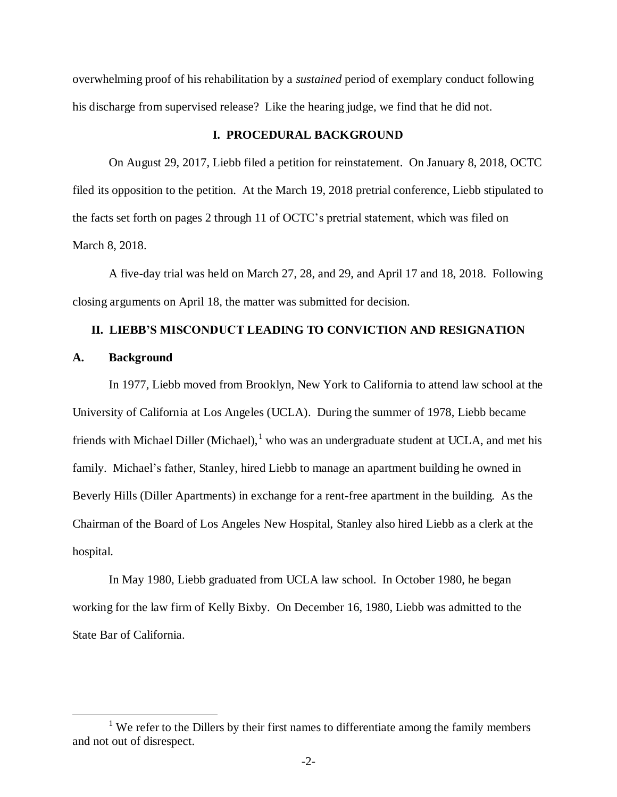overwhelming proof of his rehabilitation by a *sustained* period of exemplary conduct following his discharge from supervised release? Like the hearing judge, we find that he did not.

### **I. PROCEDURAL BACKGROUND**

On August 29, 2017, Liebb filed a petition for reinstatement. On January 8, 2018, OCTC filed its opposition to the petition. At the March 19, 2018 pretrial conference, Liebb stipulated to the facts set forth on pages 2 through 11 of OCTC's pretrial statement, which was filed on March 8, 2018.

A five-day trial was held on March 27, 28, and 29, and April 17 and 18, 2018. Following closing arguments on April 18, the matter was submitted for decision.

### **II. LIEBB'S MISCONDUCT LEADING TO CONVICTION AND RESIGNATION**

### **A. Background**

 $\overline{a}$ 

In 1977, Liebb moved from Brooklyn, New York to California to attend law school at the University of California at Los Angeles (UCLA). During the summer of 1978, Liebb became friends with Michael Diller (Michael), $<sup>1</sup>$  who was an undergraduate student at UCLA, and met his</sup> family. Michael's father, Stanley, hired Liebb to manage an apartment building he owned in Beverly Hills (Diller Apartments) in exchange for a rent-free apartment in the building. As the Chairman of the Board of Los Angeles New Hospital, Stanley also hired Liebb as a clerk at the hospital.

In May 1980, Liebb graduated from UCLA law school. In October 1980, he began working for the law firm of Kelly Bixby. On December 16, 1980, Liebb was admitted to the State Bar of California.

<sup>&</sup>lt;sup>1</sup> We refer to the Dillers by their first names to differentiate among the family members and not out of disrespect.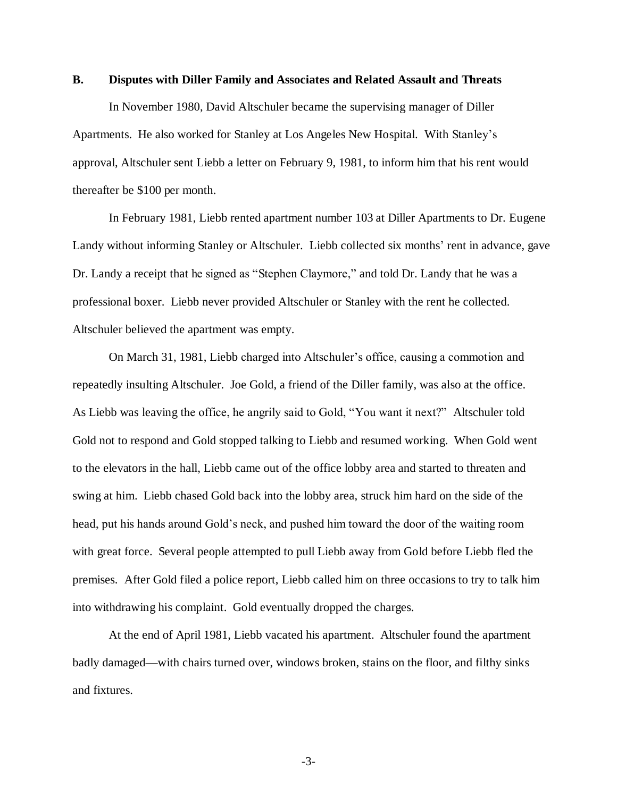### **B. Disputes with Diller Family and Associates and Related Assault and Threats**

In November 1980, David Altschuler became the supervising manager of Diller Apartments. He also worked for Stanley at Los Angeles New Hospital. With Stanley's approval, Altschuler sent Liebb a letter on February 9, 1981, to inform him that his rent would thereafter be \$100 per month.

In February 1981, Liebb rented apartment number 103 at Diller Apartments to Dr. Eugene Landy without informing Stanley or Altschuler. Liebb collected six months' rent in advance, gave Dr. Landy a receipt that he signed as "Stephen Claymore," and told Dr. Landy that he was a professional boxer. Liebb never provided Altschuler or Stanley with the rent he collected. Altschuler believed the apartment was empty.

On March 31, 1981, Liebb charged into Altschuler's office, causing a commotion and repeatedly insulting Altschuler. Joe Gold, a friend of the Diller family, was also at the office. As Liebb was leaving the office, he angrily said to Gold, "You want it next?" Altschuler told Gold not to respond and Gold stopped talking to Liebb and resumed working. When Gold went to the elevators in the hall, Liebb came out of the office lobby area and started to threaten and swing at him. Liebb chased Gold back into the lobby area, struck him hard on the side of the head, put his hands around Gold's neck, and pushed him toward the door of the waiting room with great force. Several people attempted to pull Liebb away from Gold before Liebb fled the premises. After Gold filed a police report, Liebb called him on three occasions to try to talk him into withdrawing his complaint. Gold eventually dropped the charges.

At the end of April 1981, Liebb vacated his apartment. Altschuler found the apartment badly damaged—with chairs turned over, windows broken, stains on the floor, and filthy sinks and fixtures.

-3-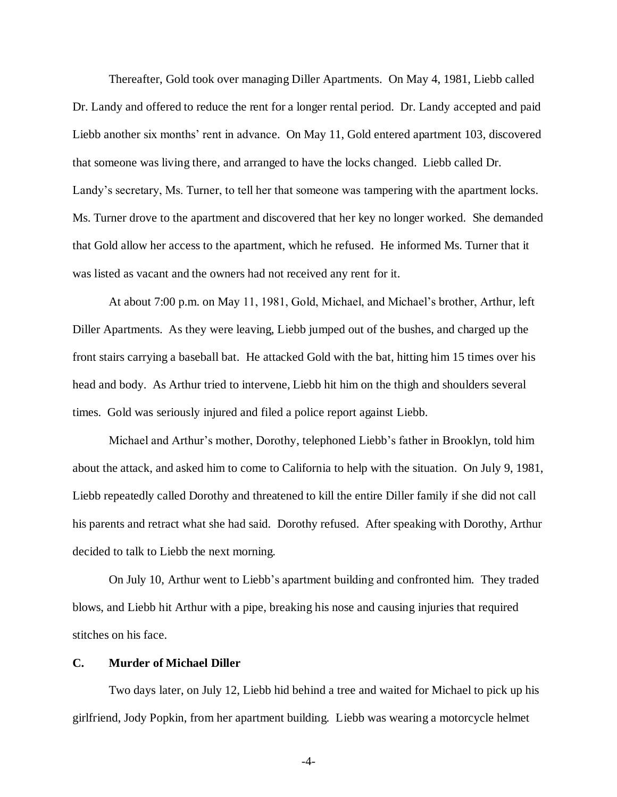Thereafter, Gold took over managing Diller Apartments. On May 4, 1981, Liebb called Dr. Landy and offered to reduce the rent for a longer rental period. Dr. Landy accepted and paid Liebb another six months' rent in advance. On May 11, Gold entered apartment 103, discovered that someone was living there, and arranged to have the locks changed. Liebb called Dr. Landy's secretary, Ms. Turner, to tell her that someone was tampering with the apartment locks. Ms. Turner drove to the apartment and discovered that her key no longer worked. She demanded that Gold allow her access to the apartment, which he refused. He informed Ms. Turner that it was listed as vacant and the owners had not received any rent for it.

At about 7:00 p.m. on May 11, 1981, Gold, Michael, and Michael's brother, Arthur, left Diller Apartments. As they were leaving, Liebb jumped out of the bushes, and charged up the front stairs carrying a baseball bat. He attacked Gold with the bat, hitting him 15 times over his head and body. As Arthur tried to intervene, Liebb hit him on the thigh and shoulders several times. Gold was seriously injured and filed a police report against Liebb.

Michael and Arthur's mother, Dorothy, telephoned Liebb's father in Brooklyn, told him about the attack, and asked him to come to California to help with the situation. On July 9, 1981, Liebb repeatedly called Dorothy and threatened to kill the entire Diller family if she did not call his parents and retract what she had said. Dorothy refused. After speaking with Dorothy, Arthur decided to talk to Liebb the next morning.

On July 10, Arthur went to Liebb's apartment building and confronted him. They traded blows, and Liebb hit Arthur with a pipe, breaking his nose and causing injuries that required stitches on his face.

### **C. Murder of Michael Diller**

Two days later, on July 12, Liebb hid behind a tree and waited for Michael to pick up his girlfriend, Jody Popkin, from her apartment building. Liebb was wearing a motorcycle helmet

-4-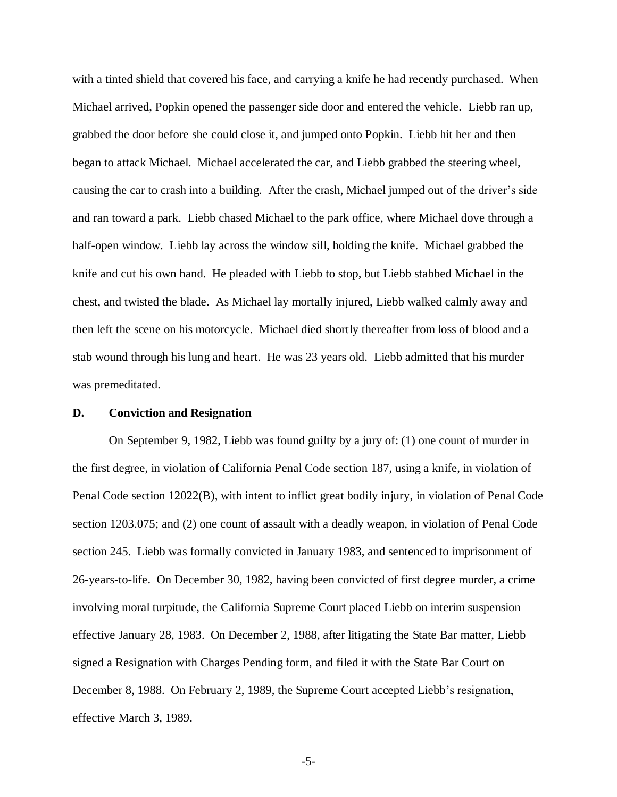with a tinted shield that covered his face, and carrying a knife he had recently purchased. When Michael arrived, Popkin opened the passenger side door and entered the vehicle. Liebb ran up, grabbed the door before she could close it, and jumped onto Popkin. Liebb hit her and then began to attack Michael. Michael accelerated the car, and Liebb grabbed the steering wheel, causing the car to crash into a building. After the crash, Michael jumped out of the driver's side and ran toward a park. Liebb chased Michael to the park office, where Michael dove through a half-open window. Liebb lay across the window sill, holding the knife. Michael grabbed the knife and cut his own hand. He pleaded with Liebb to stop, but Liebb stabbed Michael in the chest, and twisted the blade. As Michael lay mortally injured, Liebb walked calmly away and then left the scene on his motorcycle. Michael died shortly thereafter from loss of blood and a stab wound through his lung and heart. He was 23 years old. Liebb admitted that his murder was premeditated.

### **D. Conviction and Resignation**

On September 9, 1982, Liebb was found guilty by a jury of: (1) one count of murder in the first degree, in violation of California Penal Code section 187, using a knife, in violation of Penal Code section 12022(B), with intent to inflict great bodily injury, in violation of Penal Code section 1203.075; and (2) one count of assault with a deadly weapon, in violation of Penal Code section 245. Liebb was formally convicted in January 1983, and sentenced to imprisonment of 26-years-to-life. On December 30, 1982, having been convicted of first degree murder, a crime involving moral turpitude, the California Supreme Court placed Liebb on interim suspension effective January 28, 1983. On December 2, 1988, after litigating the State Bar matter, Liebb signed a Resignation with Charges Pending form, and filed it with the State Bar Court on December 8, 1988. On February 2, 1989, the Supreme Court accepted Liebb's resignation, effective March 3, 1989.

-5-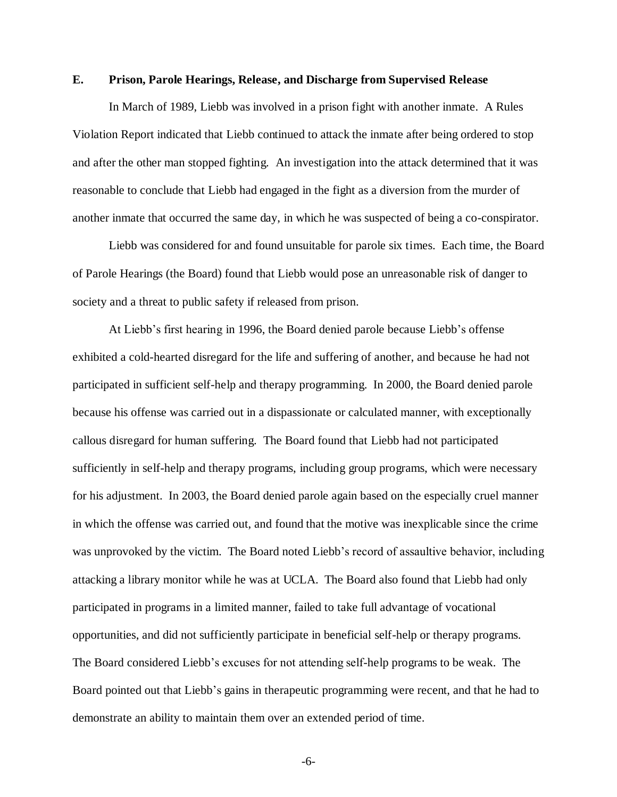### **E. Prison, Parole Hearings, Release, and Discharge from Supervised Release**

In March of 1989, Liebb was involved in a prison fight with another inmate. A Rules Violation Report indicated that Liebb continued to attack the inmate after being ordered to stop and after the other man stopped fighting. An investigation into the attack determined that it was reasonable to conclude that Liebb had engaged in the fight as a diversion from the murder of another inmate that occurred the same day, in which he was suspected of being a co-conspirator.

Liebb was considered for and found unsuitable for parole six times. Each time, the Board of Parole Hearings (the Board) found that Liebb would pose an unreasonable risk of danger to society and a threat to public safety if released from prison.

At Liebb's first hearing in 1996, the Board denied parole because Liebb's offense exhibited a cold-hearted disregard for the life and suffering of another, and because he had not participated in sufficient self-help and therapy programming. In 2000, the Board denied parole because his offense was carried out in a dispassionate or calculated manner, with exceptionally callous disregard for human suffering. The Board found that Liebb had not participated sufficiently in self-help and therapy programs, including group programs, which were necessary for his adjustment. In 2003, the Board denied parole again based on the especially cruel manner in which the offense was carried out, and found that the motive was inexplicable since the crime was unprovoked by the victim. The Board noted Liebb's record of assaultive behavior, including attacking a library monitor while he was at UCLA. The Board also found that Liebb had only participated in programs in a limited manner, failed to take full advantage of vocational opportunities, and did not sufficiently participate in beneficial self-help or therapy programs. The Board considered Liebb's excuses for not attending self-help programs to be weak. The Board pointed out that Liebb's gains in therapeutic programming were recent, and that he had to demonstrate an ability to maintain them over an extended period of time.

-6-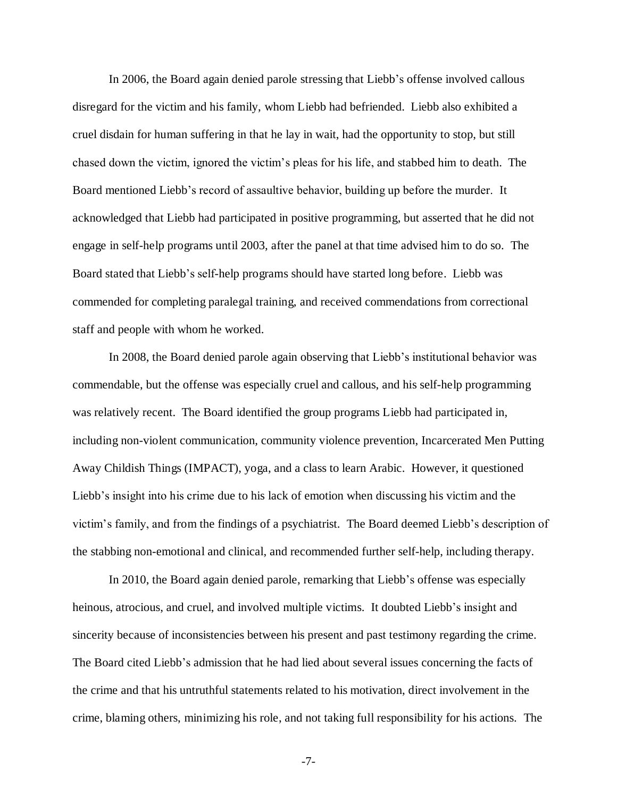In 2006, the Board again denied parole stressing that Liebb's offense involved callous disregard for the victim and his family, whom Liebb had befriended. Liebb also exhibited a cruel disdain for human suffering in that he lay in wait, had the opportunity to stop, but still chased down the victim, ignored the victim's pleas for his life, and stabbed him to death. The Board mentioned Liebb's record of assaultive behavior, building up before the murder. It acknowledged that Liebb had participated in positive programming, but asserted that he did not engage in self-help programs until 2003, after the panel at that time advised him to do so. The Board stated that Liebb's self-help programs should have started long before. Liebb was commended for completing paralegal training, and received commendations from correctional staff and people with whom he worked.

In 2008, the Board denied parole again observing that Liebb's institutional behavior was commendable, but the offense was especially cruel and callous, and his self-help programming was relatively recent. The Board identified the group programs Liebb had participated in, including non-violent communication, community violence prevention, Incarcerated Men Putting Away Childish Things (IMPACT), yoga, and a class to learn Arabic. However, it questioned Liebb's insight into his crime due to his lack of emotion when discussing his victim and the victim's family, and from the findings of a psychiatrist. The Board deemed Liebb's description of the stabbing non-emotional and clinical, and recommended further self-help, including therapy.

In 2010, the Board again denied parole, remarking that Liebb's offense was especially heinous, atrocious, and cruel, and involved multiple victims. It doubted Liebb's insight and sincerity because of inconsistencies between his present and past testimony regarding the crime. The Board cited Liebb's admission that he had lied about several issues concerning the facts of the crime and that his untruthful statements related to his motivation, direct involvement in the crime, blaming others, minimizing his role, and not taking full responsibility for his actions. The

-7-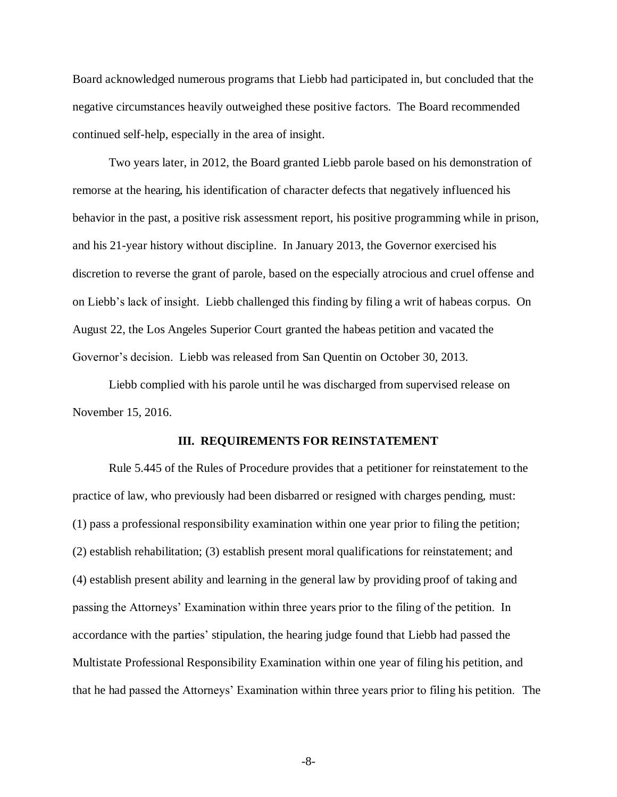Board acknowledged numerous programs that Liebb had participated in, but concluded that the negative circumstances heavily outweighed these positive factors. The Board recommended continued self-help, especially in the area of insight.

Two years later, in 2012, the Board granted Liebb parole based on his demonstration of remorse at the hearing, his identification of character defects that negatively influenced his behavior in the past, a positive risk assessment report, his positive programming while in prison, and his 21-year history without discipline. In January 2013, the Governor exercised his discretion to reverse the grant of parole, based on the especially atrocious and cruel offense and on Liebb's lack of insight. Liebb challenged this finding by filing a writ of habeas corpus. On August 22, the Los Angeles Superior Court granted the habeas petition and vacated the Governor's decision. Liebb was released from San Quentin on October 30, 2013.

Liebb complied with his parole until he was discharged from supervised release on November 15, 2016.

#### **III. REQUIREMENTS FOR REINSTATEMENT**

Rule 5.445 of the Rules of Procedure provides that a petitioner for reinstatement to the practice of law, who previously had been disbarred or resigned with charges pending, must: (1) pass a professional responsibility examination within one year prior to filing the petition; (2) establish rehabilitation; (3) establish present moral qualifications for reinstatement; and (4) establish present ability and learning in the general law by providing proof of taking and passing the Attorneys' Examination within three years prior to the filing of the petition. In accordance with the parties' stipulation, the hearing judge found that Liebb had passed the Multistate Professional Responsibility Examination within one year of filing his petition, and that he had passed the Attorneys' Examination within three years prior to filing his petition. The

-8-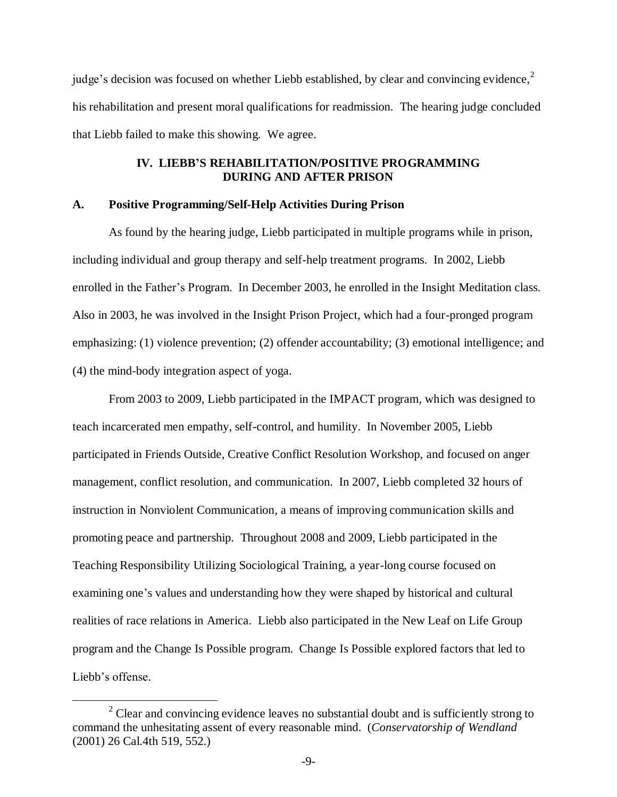judge's decision was focused on whether Liebb established, by clear and convincing evidence, $2$ his rehabilitation and present moral qualifications for readmission. The hearing judge concluded that Liebb failed to make this showing. We agree.

## **IV. LIEBB'S REHABILITATION/POSITIVE PROGRAMMING DURING AND AFTER PRISON**

### **A. Positive Programming/Self-Help Activities During Prison**

As found by the hearing judge, Liebb participated in multiple programs while in prison, including individual and group therapy and self-help treatment programs. In 2002, Liebb enrolled in the Father's Program. In December 2003, he enrolled in the Insight Meditation class. Also in 2003, he was involved in the Insight Prison Project, which had a four-pronged program emphasizing: (1) violence prevention; (2) offender accountability; (3) emotional intelligence; and (4) the mind-body integration aspect of yoga.

From 2003 to 2009, Liebb participated in the IMPACT program, which was designed to teach incarcerated men empathy, self-control, and humility. In November 2005, Liebb participated in Friends Outside, Creative Conflict Resolution Workshop, and focused on anger management, conflict resolution, and communication. In 2007, Liebb completed 32 hours of instruction in Nonviolent Communication, a means of improving communication skills and promoting peace and partnership. Throughout 2008 and 2009, Liebb participated in the Teaching Responsibility Utilizing Sociological Training, a year-long course focused on examining one's values and understanding how they were shaped by historical and cultural realities of race relations in America. Liebb also participated in the New Leaf on Life Group program and the Change Is Possible program. Change Is Possible explored factors that led to Liebb's offense.

 $\overline{a}$ 

 $2$  Clear and convincing evidence leaves no substantial doubt and is sufficiently strong to command the unhesitating assent of every reasonable mind. (*Conservatorship of Wendland* (2001) 26 Cal.4th 519, 552.)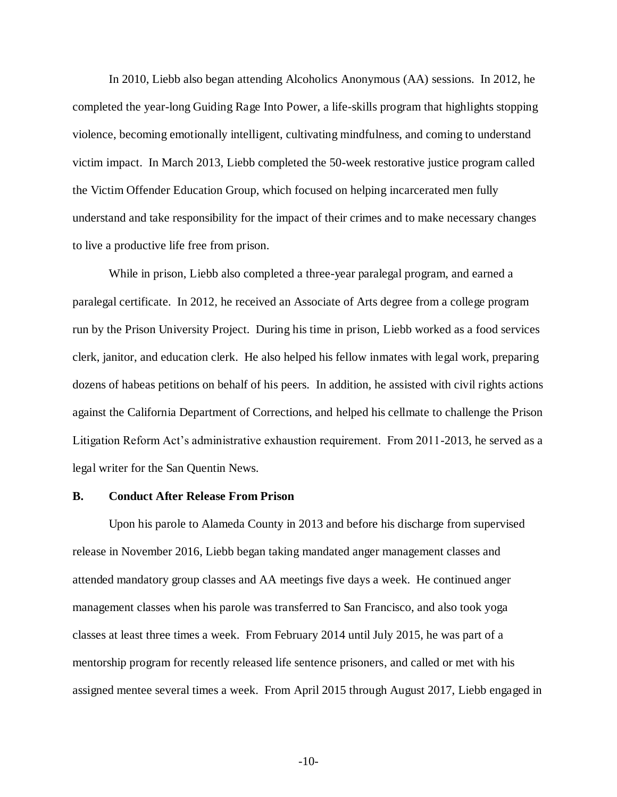In 2010, Liebb also began attending Alcoholics Anonymous (AA) sessions. In 2012, he completed the year-long Guiding Rage Into Power, a life-skills program that highlights stopping violence, becoming emotionally intelligent, cultivating mindfulness, and coming to understand victim impact. In March 2013, Liebb completed the 50-week restorative justice program called the Victim Offender Education Group, which focused on helping incarcerated men fully understand and take responsibility for the impact of their crimes and to make necessary changes to live a productive life free from prison.

While in prison, Liebb also completed a three-year paralegal program, and earned a paralegal certificate. In 2012, he received an Associate of Arts degree from a college program run by the Prison University Project. During his time in prison, Liebb worked as a food services clerk, janitor, and education clerk. He also helped his fellow inmates with legal work, preparing dozens of habeas petitions on behalf of his peers. In addition, he assisted with civil rights actions against the California Department of Corrections, and helped his cellmate to challenge the Prison Litigation Reform Act's administrative exhaustion requirement. From 2011-2013, he served as a legal writer for the San Quentin News.

### **B. Conduct After Release From Prison**

Upon his parole to Alameda County in 2013 and before his discharge from supervised release in November 2016, Liebb began taking mandated anger management classes and attended mandatory group classes and AA meetings five days a week. He continued anger management classes when his parole was transferred to San Francisco, and also took yoga classes at least three times a week. From February 2014 until July 2015, he was part of a mentorship program for recently released life sentence prisoners, and called or met with his assigned mentee several times a week. From April 2015 through August 2017, Liebb engaged in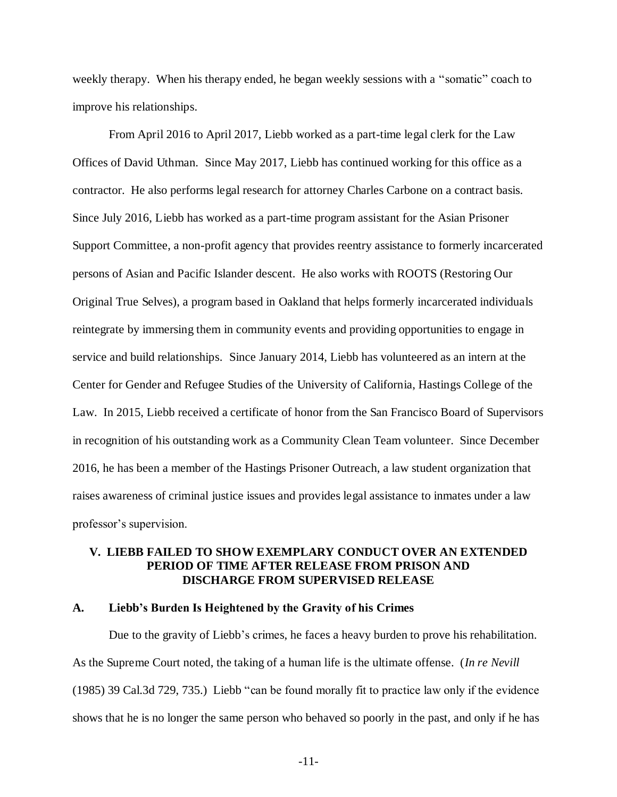weekly therapy. When his therapy ended, he began weekly sessions with a "somatic" coach to improve his relationships.

From April 2016 to April 2017, Liebb worked as a part-time legal clerk for the Law Offices of David Uthman. Since May 2017, Liebb has continued working for this office as a contractor. He also performs legal research for attorney Charles Carbone on a contract basis. Since July 2016, Liebb has worked as a part-time program assistant for the Asian Prisoner Support Committee, a non-profit agency that provides reentry assistance to formerly incarcerated persons of Asian and Pacific Islander descent. He also works with ROOTS (Restoring Our Original True Selves), a program based in Oakland that helps formerly incarcerated individuals reintegrate by immersing them in community events and providing opportunities to engage in service and build relationships. Since January 2014, Liebb has volunteered as an intern at the Center for Gender and Refugee Studies of the University of California, Hastings College of the Law. In 2015, Liebb received a certificate of honor from the San Francisco Board of Supervisors in recognition of his outstanding work as a Community Clean Team volunteer. Since December 2016, he has been a member of the Hastings Prisoner Outreach, a law student organization that raises awareness of criminal justice issues and provides legal assistance to inmates under a law professor's supervision.

## **V. LIEBB FAILED TO SHOW EXEMPLARY CONDUCT OVER AN EXTENDED PERIOD OF TIME AFTER RELEASE FROM PRISON AND DISCHARGE FROM SUPERVISED RELEASE**

### **A. Liebb's Burden Is Heightened by the Gravity of his Crimes**

Due to the gravity of Liebb's crimes, he faces a heavy burden to prove his rehabilitation. As the Supreme Court noted, the taking of a human life is the ultimate offense. (*In re Nevill*  (1985) 39 Cal.3d 729, 735.) Liebb "can be found morally fit to practice law only if the evidence shows that he is no longer the same person who behaved so poorly in the past, and only if he has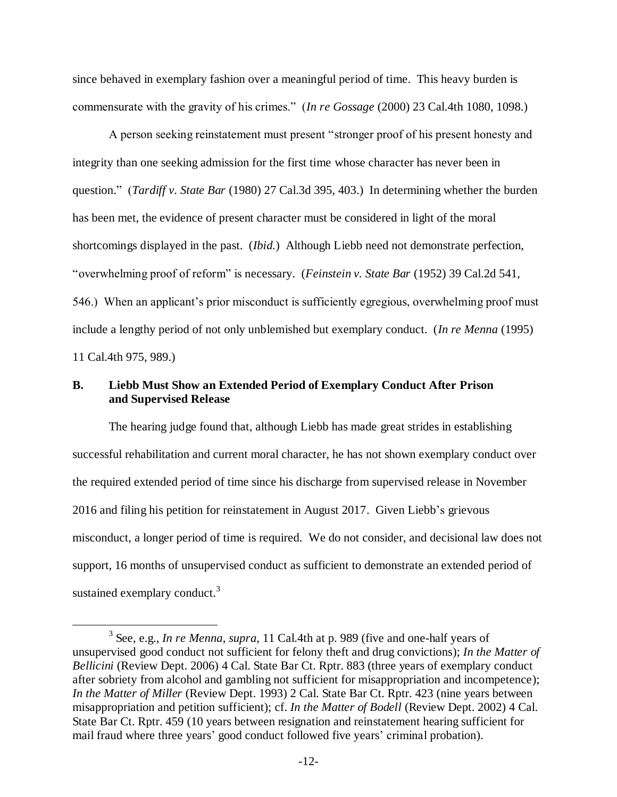since behaved in exemplary fashion over a meaningful period of time. This heavy burden is commensurate with the gravity of his crimes." (*In re Gossage* (2000) 23 Cal.4th 1080, 1098.)

A person seeking reinstatement must present "stronger proof of his present honesty and integrity than one seeking admission for the first time whose character has never been in question." (*Tardiff v. State Bar* (1980) 27 Cal.3d 395, 403.) In determining whether the burden has been met, the evidence of present character must be considered in light of the moral shortcomings displayed in the past. (*Ibid.*) Although Liebb need not demonstrate perfection, "overwhelming proof of reform" is necessary. (*Feinstein v. State Bar* (1952) 39 Cal.2d 541, 546.) When an applicant's prior misconduct is sufficiently egregious, overwhelming proof must include a lengthy period of not only unblemished but exemplary conduct. (*In re Menna* (1995) 11 Cal.4th 975, 989.)

## **B. Liebb Must Show an Extended Period of Exemplary Conduct After Prison and Supervised Release**

The hearing judge found that, although Liebb has made great strides in establishing successful rehabilitation and current moral character, he has not shown exemplary conduct over the required extended period of time since his discharge from supervised release in November 2016 and filing his petition for reinstatement in August 2017. Given Liebb's grievous misconduct, a longer period of time is required. We do not consider, and decisional law does not support, 16 months of unsupervised conduct as sufficient to demonstrate an extended period of sustained exemplary conduct. $3$ 

 $\overline{a}$ 

<sup>3</sup> See, e.g., *In re Menna*, *supra*, 11 Cal.4th at p. 989 (five and one-half years of unsupervised good conduct not sufficient for felony theft and drug convictions); *In the Matter of Bellicini* (Review Dept. 2006) 4 Cal. State Bar Ct. Rptr. 883 (three years of exemplary conduct after sobriety from alcohol and gambling not sufficient for misappropriation and incompetence); *In the Matter of Miller* (Review Dept. 1993) 2 Cal. State Bar Ct. Rptr. 423 (nine years between misappropriation and petition sufficient); cf. *In the Matter of Bodell* (Review Dept. 2002) 4 Cal. State Bar Ct. Rptr. 459 (10 years between resignation and reinstatement hearing sufficient for mail fraud where three years' good conduct followed five years' criminal probation).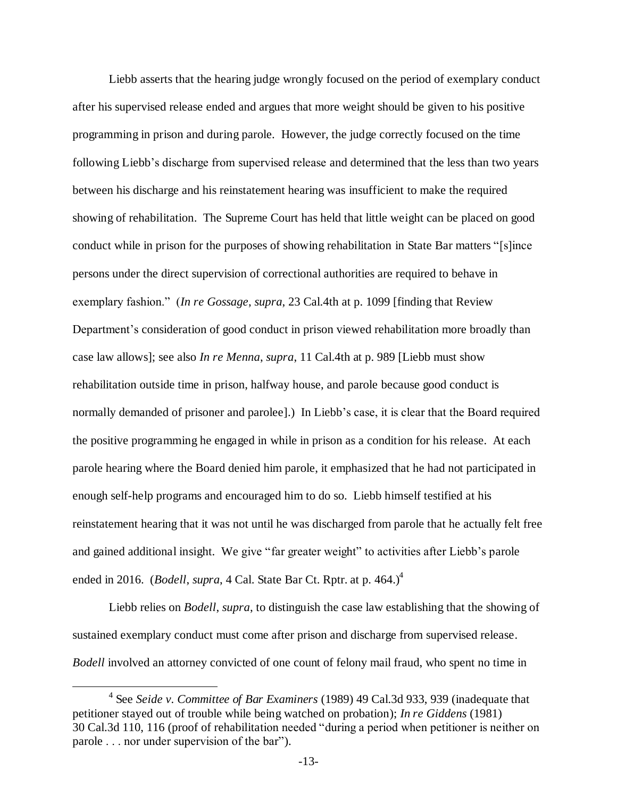Liebb asserts that the hearing judge wrongly focused on the period of exemplary conduct after his supervised release ended and argues that more weight should be given to his positive programming in prison and during parole. However, the judge correctly focused on the time following Liebb's discharge from supervised release and determined that the less than two years between his discharge and his reinstatement hearing was insufficient to make the required showing of rehabilitation. The Supreme Court has held that little weight can be placed on good conduct while in prison for the purposes of showing rehabilitation in State Bar matters "[s]ince persons under the direct supervision of correctional authorities are required to behave in exemplary fashion." (*In re Gossage*, *supra*, 23 Cal.4th at p. 1099 [finding that Review Department's consideration of good conduct in prison viewed rehabilitation more broadly than case law allows]; see also *In re Menna*, *supra*, 11 Cal.4th at p. 989 [Liebb must show rehabilitation outside time in prison, halfway house, and parole because good conduct is normally demanded of prisoner and parolee].) In Liebb's case, it is clear that the Board required the positive programming he engaged in while in prison as a condition for his release. At each parole hearing where the Board denied him parole, it emphasized that he had not participated in enough self-help programs and encouraged him to do so. Liebb himself testified at his reinstatement hearing that it was not until he was discharged from parole that he actually felt free and gained additional insight. We give "far greater weight" to activities after Liebb's parole ended in 2016. (*Bodell*, *supra*, 4 Cal. State Bar Ct. Rptr. at p. 464.)<sup>4</sup>

Liebb relies on *Bodell*, *supra*, to distinguish the case law establishing that the showing of sustained exemplary conduct must come after prison and discharge from supervised release. *Bodell* involved an attorney convicted of one count of felony mail fraud, who spent no time in

 $\overline{a}$ 

<sup>4</sup> See *Seide v. Committee of Bar Examiners* (1989) 49 Cal.3d 933, 939 (inadequate that petitioner stayed out of trouble while being watched on probation); *In re Giddens* (1981) 30 Cal.3d 110, 116 (proof of rehabilitation needed "during a period when petitioner is neither on parole . . . nor under supervision of the bar").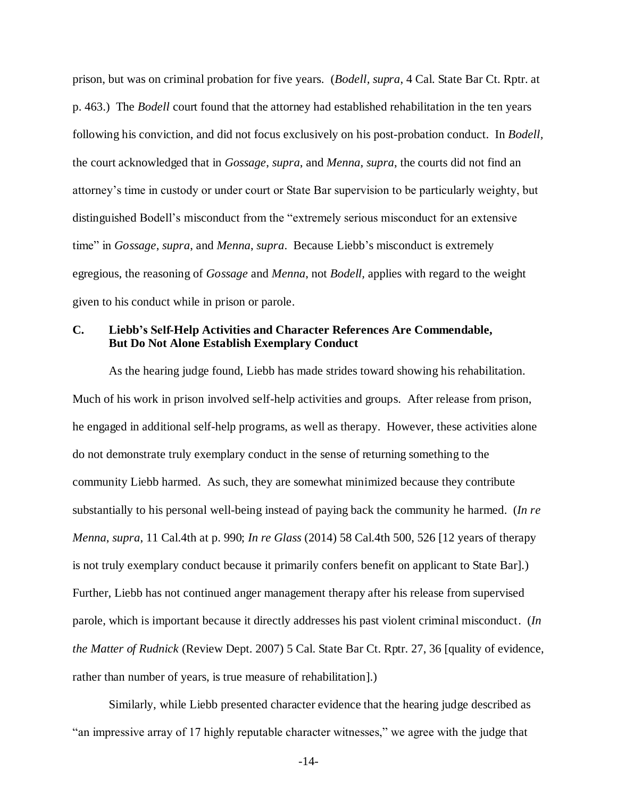prison, but was on criminal probation for five years. (*Bodell, supra*, 4 Cal. State Bar Ct. Rptr. at p. 463.) The *Bodell* court found that the attorney had established rehabilitation in the ten years following his conviction, and did not focus exclusively on his post-probation conduct. In *Bodell,*  the court acknowledged that in *Gossage*, *supra*, and *Menna*, *supra*, the courts did not find an attorney's time in custody or under court or State Bar supervision to be particularly weighty, but distinguished Bodell's misconduct from the "extremely serious misconduct for an extensive time" in *Gossage*, *supra*, and *Menna*, *supra*. Because Liebb's misconduct is extremely egregious, the reasoning of *Gossage* and *Menna*, not *Bodell,* applies with regard to the weight given to his conduct while in prison or parole.

## **C. Liebb's Self-Help Activities and Character References Are Commendable, But Do Not Alone Establish Exemplary Conduct**

As the hearing judge found, Liebb has made strides toward showing his rehabilitation. Much of his work in prison involved self-help activities and groups. After release from prison, he engaged in additional self-help programs, as well as therapy. However, these activities alone do not demonstrate truly exemplary conduct in the sense of returning something to the community Liebb harmed. As such, they are somewhat minimized because they contribute substantially to his personal well-being instead of paying back the community he harmed. (*In re Menna*, *supra*, 11 Cal.4th at p. 990; *In re Glass* (2014) 58 Cal.4th 500, 526 [12 years of therapy is not truly exemplary conduct because it primarily confers benefit on applicant to State Bar].) Further, Liebb has not continued anger management therapy after his release from supervised parole, which is important because it directly addresses his past violent criminal misconduct. (*In the Matter of Rudnick* (Review Dept. 2007) 5 Cal. State Bar Ct. Rptr. 27, 36 [quality of evidence, rather than number of years, is true measure of rehabilitation].)

Similarly, while Liebb presented character evidence that the hearing judge described as "an impressive array of 17 highly reputable character witnesses," we agree with the judge that